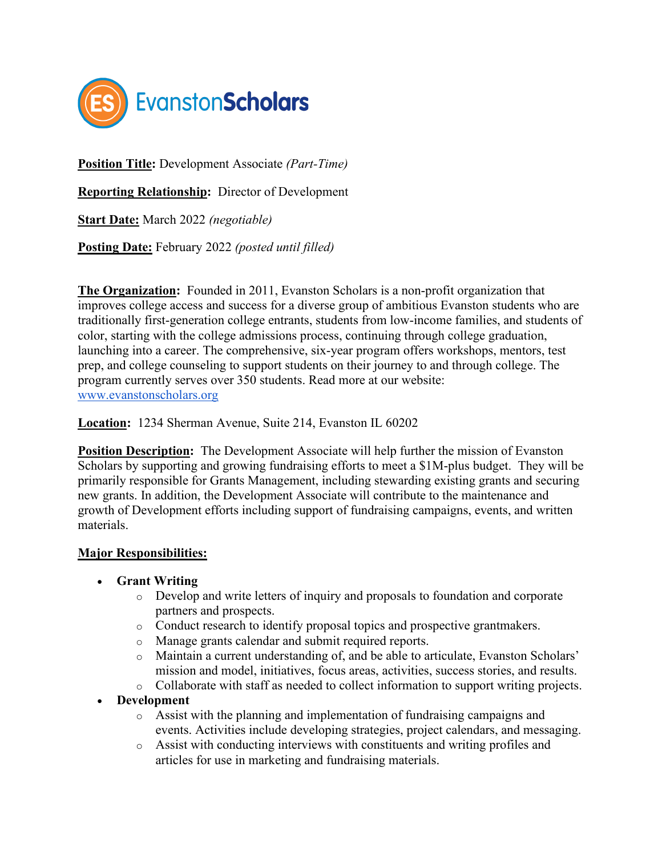

**Position Title:** Development Associate *(Part-Time)*

**Reporting Relationship:** Director of Development

**Start Date:** March 2022 *(negotiable)*

**Posting Date:** February 2022 *(posted until filled)*

**The Organization:** Founded in 2011, Evanston Scholars is a non-profit organization that improves college access and success for a diverse group of ambitious Evanston students who are traditionally first-generation college entrants, students from low-income families, and students of color, starting with the college admissions process, continuing through college graduation, launching into a career. The comprehensive, six-year program offers workshops, mentors, test prep, and college counseling to support students on their journey to a[nd through college. The](http://www.evanstonscholars.org/)  program currently serves over 350 students. Read more at our website: [www.evanstonscholars.org](http://www.evanstonscholars.org/)

**Location:** 1234 Sherman Avenue, Suite 214, Evanston IL 60202

**Position Description:** The Development Associate will help further the mission of Evanston Scholars by supporting and growing fundraising efforts to meet a \$1M-plus budget. They will be primarily responsible for Grants Management, including stewarding existing grants and securing new grants. In addition, the Development Associate will contribute to the maintenance and growth of Development efforts including support of fundraising campaigns, events, and written materials.

#### **Major Responsibilities:**

- **Grant Writing**
	- o Develop and write letters of inquiry and proposals to foundation and corporate partners and prospects.
	- o Conduct research to identify proposal topics and prospective grantmakers.
	- o Manage grants calendar and submit required reports.
	- o Maintain a current understanding of, and be able to articulate, Evanston Scholars' mission and model, initiatives, focus areas, activities, success stories, and results.
	- o Collaborate with staff as needed to collect information to support writing projects.
- **Development**
	- o Assist with the planning and implementation of fundraising campaigns and events. Activities include developing strategies, project calendars, and messaging.
	- o Assist with conducting interviews with constituents and writing profiles and articles for use in marketing and fundraising materials.